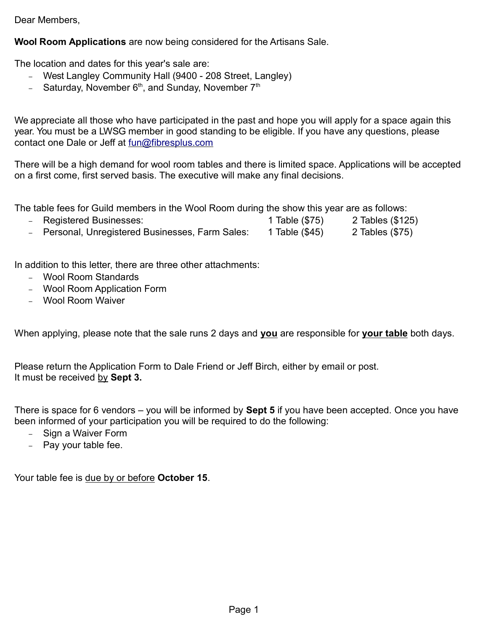Dear Members,

Wool Room Applications are now being considered for the Artisans Sale.

The location and dates for this year's sale are:

- West Langley Community Hall (9400 208 Street, Langley)
- Saturday, November  $6<sup>th</sup>$ , and Sunday, November  $7<sup>th</sup>$

We appreciate all those who have participated in the past and hope you will apply for a space again this year. You must be a LWSG member in good standing to be eligible. If you have any questions, please contact one Dale or Jeff at fun@fibresplus.com

There will be a high demand for wool room tables and there is limited space. Applications will be accepted on a first come, first served basis. The executive will make any final decisions.

The table fees for Guild members in the Wool Room during the show this year are as follows:

- Registered Businesses: 1 Table (\$75) 2 Tables (\$125)
- Personal, Unregistered Businesses, Farm Sales: 1 Table (\$45) 2 Tables (\$75)

In addition to this letter, there are three other attachments:

- Wool Room Standards
- Wool Room Application Form
- Wool Room Waiver

When applying, please note that the sale runs 2 days and you are responsible for your table both days.

Please return the Application Form to Dale Friend or Jeff Birch, either by email or post. It must be received by Sept 3.

There is space for 6 vendors – you will be informed by **Sept 5** if you have been accepted. Once you have been informed of your participation you will be required to do the following:

- Sign a Waiver Form
- Pay your table fee.

Your table fee is due by or before October 15.